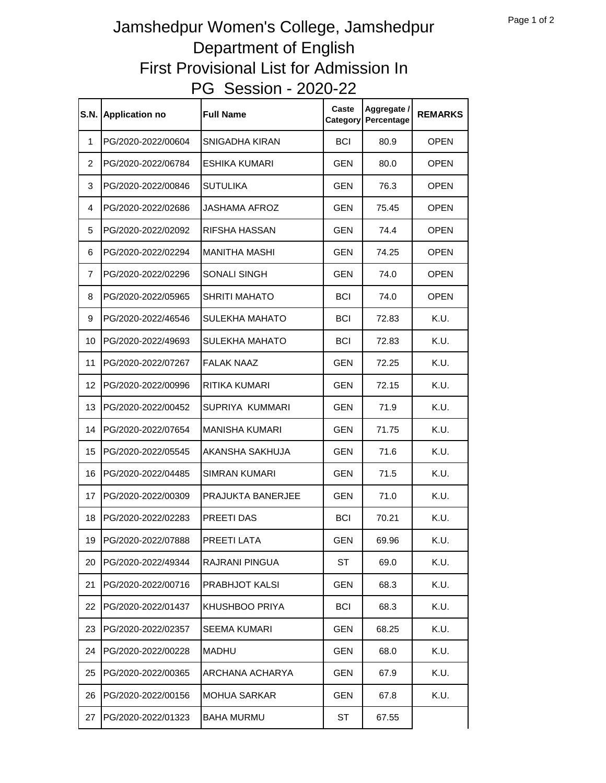## PG Session - 2020-22 Jamshedpur Women's College, Jamshedpur Department of English First Provisional List for Admission In

| <b>S.N.</b>    | <b>Application no</b> | <b>Full Name</b>      | Caste<br>Category | Aggregate /<br>Percentage | <b>REMARKS</b> |
|----------------|-----------------------|-----------------------|-------------------|---------------------------|----------------|
| $\mathbf{1}$   | PG/2020-2022/00604    | SNIGADHA KIRAN        | <b>BCI</b>        | 80.9                      | <b>OPEN</b>    |
| 2              | PG/2020-2022/06784    | <b>ESHIKA KUMARI</b>  | <b>GEN</b>        | 80.0                      | <b>OPEN</b>    |
| 3              | PG/2020-2022/00846    | SUTULIKA              | <b>GEN</b>        | 76.3                      | <b>OPEN</b>    |
| 4              | PG/2020-2022/02686    | JASHAMA AFROZ         | GEN               | 75.45                     | <b>OPEN</b>    |
| 5              | PG/2020-2022/02092    | RIFSHA HASSAN         | <b>GEN</b>        | 74.4                      | <b>OPEN</b>    |
| 6              | PG/2020-2022/02294    | <b>MANITHA MASHI</b>  | <b>GEN</b>        | 74.25                     | <b>OPEN</b>    |
| $\overline{7}$ | PG/2020-2022/02296    | SONALI SINGH          | <b>GEN</b>        | 74.0                      | <b>OPEN</b>    |
| 8              | PG/2020-2022/05965    | <b>SHRITI MAHATO</b>  | <b>BCI</b>        | 74.0                      | <b>OPEN</b>    |
| 9              | PG/2020-2022/46546    | SULEKHA MAHATO        | <b>BCI</b>        | 72.83                     | K.U.           |
| 10             | PG/2020-2022/49693    | SULEKHA MAHATO        | <b>BCI</b>        | 72.83                     | K.U.           |
| 11             | PG/2020-2022/07267    | <b>FALAK NAAZ</b>     | GEN               | 72.25                     | K.U.           |
| 12             | PG/2020-2022/00996    | RITIKA KUMARI         | GEN               | 72.15                     | K.U.           |
| 13             | PG/2020-2022/00452    | SUPRIYA KUMMARI       | GEN               | 71.9                      | K.U.           |
| 14             | PG/2020-2022/07654    | <b>MANISHA KUMARI</b> | <b>GEN</b>        | 71.75                     | K.U.           |
| 15             | PG/2020-2022/05545    | AKANSHA SAKHUJA       | <b>GEN</b>        | 71.6                      | K.U.           |
| 16             | PG/2020-2022/04485    | SIMRAN KUMARI         | <b>GEN</b>        | 71.5                      | K.U.           |
| 17             | PG/2020-2022/00309    | PRAJUKTA BANERJEE     | <b>GEN</b>        | 71.0                      | K.U.           |
| 18             | PG/2020-2022/02283    | PREETI DAS            | <b>BCI</b>        | 70.21                     | K.U.           |
| 19             | PG/2020-2022/07888    | PREETI LATA           | GEN               | 69.96                     | K.U.           |
| 20             | PG/2020-2022/49344    | <b>RAJRANI PINGUA</b> | ST                | 69.0                      | K.U.           |
| 21             | PG/2020-2022/00716    | PRABHJOT KALSI        | <b>GEN</b>        | 68.3                      | K.U.           |
| 22             | PG/2020-2022/01437    | KHUSHBOO PRIYA        | BCI               | 68.3                      | K.U.           |
| 23             | PG/2020-2022/02357    | SEEMA KUMARI          | <b>GEN</b>        | 68.25                     | K.U.           |
| 24             | PG/2020-2022/00228    | <b>MADHU</b>          | <b>GEN</b>        | 68.0                      | K.U.           |
| 25             | PG/2020-2022/00365    | ARCHANA ACHARYA       | <b>GEN</b>        | 67.9                      | K.U.           |
| 26             | PG/2020-2022/00156    | <b>MOHUA SARKAR</b>   | <b>GEN</b>        | 67.8                      | K.U.           |
| 27             | PG/2020-2022/01323    | <b>BAHA MURMU</b>     | ST                | 67.55                     |                |